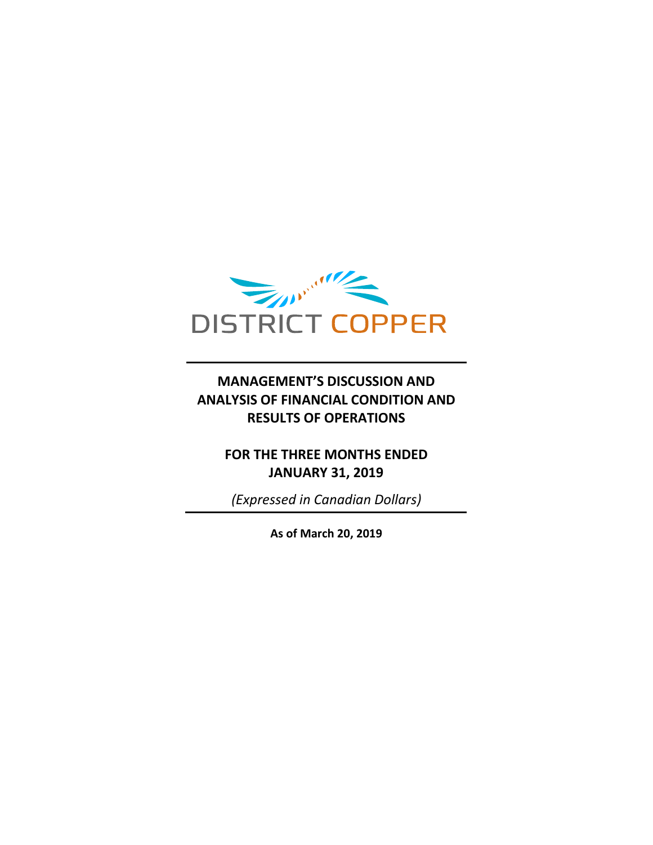

# **MANAGEMENT'S DISCUSSION AND ANALYSIS OF FINANCIAL CONDITION AND RESULTS OF OPERATIONS**

## **FOR THE THREE MONTHS ENDED JANUARY 31, 2019**

*(Expressed in Canadian Dollars)*

**As of March 20, 2019**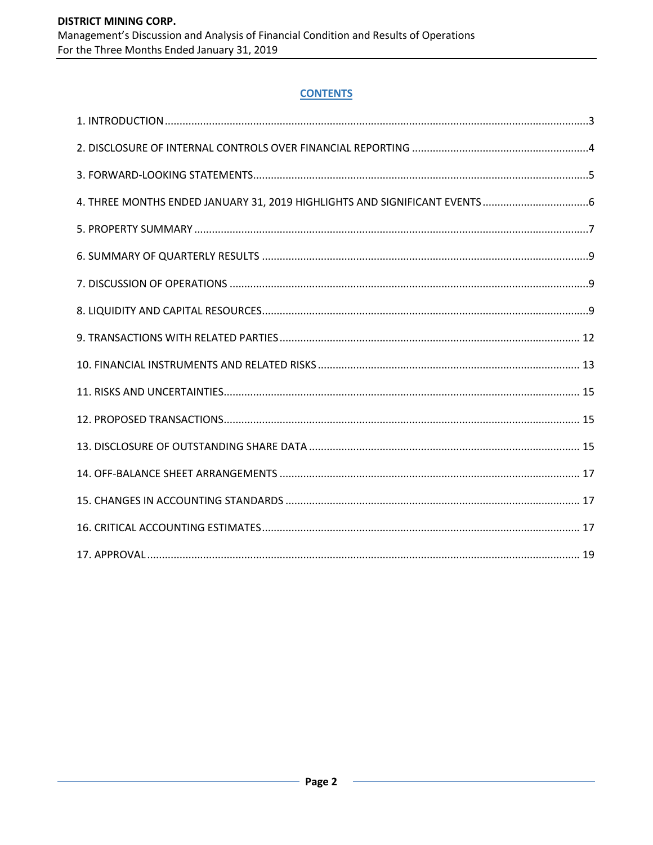## **CONTENTS**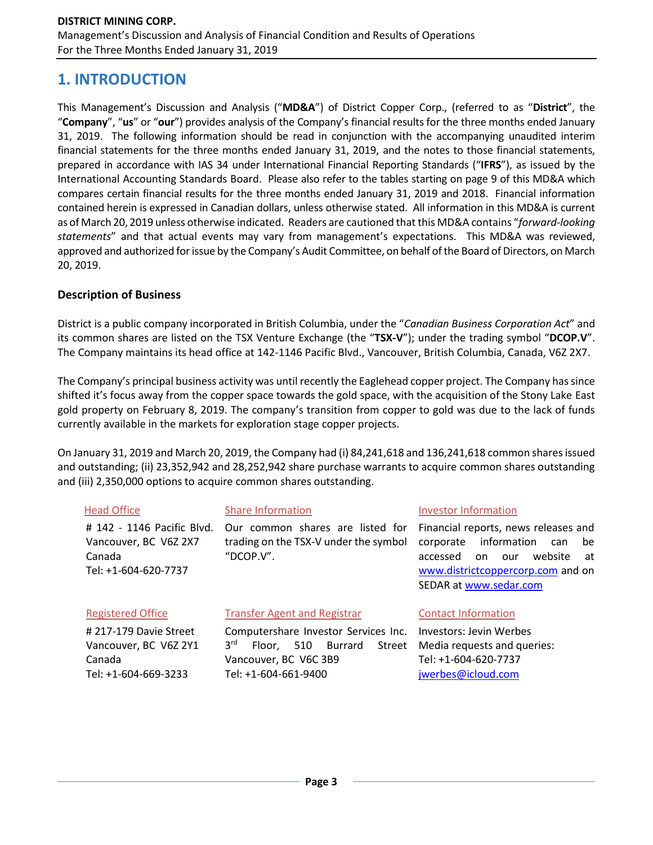# **1. INTRODUCTION**

This Management's Discussion and Analysis ("**MD&A**") of District Copper Corp., (referred to as "**District**", the "**Company**", "**us**" or "**our**") provides analysis of the Company's financial results for the three months ended January 31, 2019. The following information should be read in conjunction with the accompanying unaudited interim financial statements for the three months ended January 31, 2019, and the notes to those financial statements, prepared in accordance with IAS 34 under International Financial Reporting Standards ("**IFRS**"), as issued by the International Accounting Standards Board. Please also refer to the tables starting on page 9 of this MD&A which compares certain financial results for the three months ended January 31, 2019 and 2018. Financial information contained herein is expressed in Canadian dollars, unless otherwise stated. All information in this MD&A is current as of March 20, 2019 unless otherwise indicated. Readers are cautioned that this MD&A contains "*forward-looking statements*" and that actual events may vary from management's expectations. This MD&A was reviewed, approved and authorized for issue by the Company's Audit Committee, on behalf of the Board of Directors, on March 20, 2019.

## **Description of Business**

District is a public company incorporated in British Columbia, under the "*Canadian Business Corporation Act*" and its common shares are listed on the TSX Venture Exchange (the "**TSX-V**"); under the trading symbol "**DCOP.V**". The Company maintains its head office at 142-1146 Pacific Blvd., Vancouver, British Columbia, Canada, V6Z 2X7.

The Company's principal business activity was until recently the Eaglehead copper project. The Company has since shifted it's focus away from the copper space towards the gold space, with the acquisition of the Stony Lake East gold property on February 8, 2019. The company's transition from copper to gold was due to the lack of funds currently available in the markets for exploration stage copper projects.

On January 31, 2019 and March 20, 2019, the Company had (i) 84,241,618 and 136,241,618 common shares issued and outstanding; (ii) 23,352,942 and 28,252,942 share purchase warrants to acquire common shares outstanding and (iii) 2,350,000 options to acquire common shares outstanding.

| <b>Head Office</b>                                                                    | <b>Share Information</b>                                                                  | <b>Investor Information</b>                                                                                                                                                             |  |  |  |
|---------------------------------------------------------------------------------------|-------------------------------------------------------------------------------------------|-----------------------------------------------------------------------------------------------------------------------------------------------------------------------------------------|--|--|--|
| # 142 - 1146 Pacific Blvd.<br>Vancouver, BC V6Z 2X7<br>Canada<br>Tel: +1-604-620-7737 | Our common shares are listed for<br>trading on the TSX-V under the symbol<br>" $DCOP.V".$ | Financial reports, news releases and<br>information<br>corporate<br>be<br>can<br>website<br>accessed<br>on.<br>our<br>at<br>www.districtcoppercorp.com and on<br>SEDAR at www.sedar.com |  |  |  |
| <b>Registered Office</b>                                                              | <b>Transfer Agent and Registrar</b>                                                       | <b>Contact Information</b>                                                                                                                                                              |  |  |  |
| #217-179 Davie Street                                                                 | Computershare Investor Services Inc.                                                      | Investors: Jevin Werbes                                                                                                                                                                 |  |  |  |
| Vancouver, BC V6Z 2Y1                                                                 | 3 <sup>rd</sup><br>510 Burrard<br>Floor.<br>Street                                        | Media requests and queries:                                                                                                                                                             |  |  |  |
| Canada                                                                                | Vancouver, BC V6C 3B9                                                                     | Tel: +1-604-620-7737                                                                                                                                                                    |  |  |  |
| Tel: +1-604-669-3233                                                                  | Tel: +1-604-661-9400                                                                      | jwerbes@icloud.com                                                                                                                                                                      |  |  |  |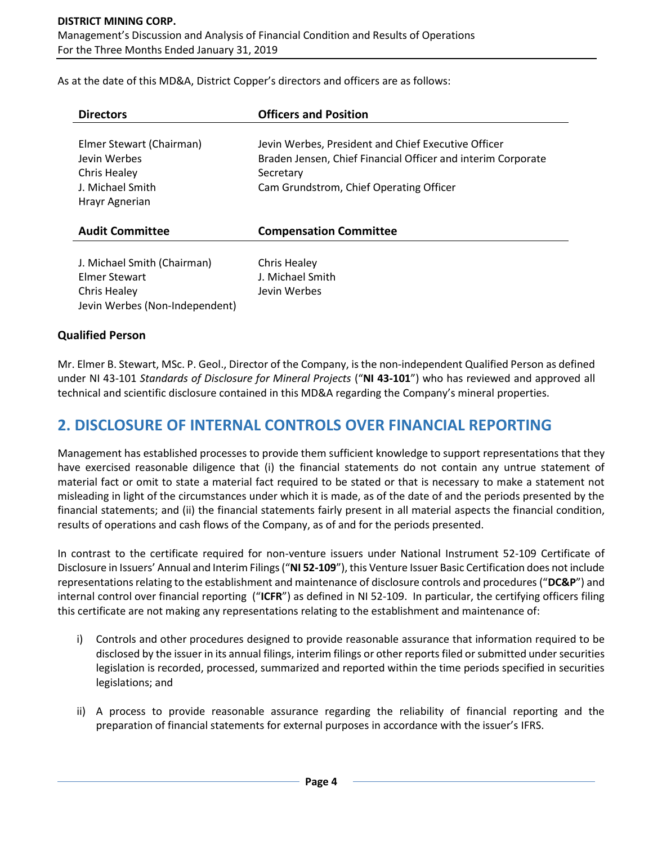As at the date of this MD&A, District Copper's directors and officers are as follows:

| <b>Directors</b>                                                                               | <b>Officers and Position</b>                                                                                                                                                |
|------------------------------------------------------------------------------------------------|-----------------------------------------------------------------------------------------------------------------------------------------------------------------------------|
| Elmer Stewart (Chairman)<br>Jevin Werbes<br>Chris Healey<br>J. Michael Smith<br>Hrayr Agnerian | Jevin Werbes, President and Chief Executive Officer<br>Braden Jensen, Chief Financial Officer and interim Corporate<br>Secretary<br>Cam Grundstrom, Chief Operating Officer |
| <b>Audit Committee</b>                                                                         | <b>Compensation Committee</b>                                                                                                                                               |
| J. Michael Smith (Chairman)<br>Elmer Stewart<br>Chris Healey<br>Jevin Werbes (Non-Independent) | <b>Chris Healey</b><br>J. Michael Smith<br>Jevin Werbes                                                                                                                     |

## **Qualified Person**

Mr. Elmer B. Stewart, MSc. P. Geol., Director of the Company, is the non-independent Qualified Person as defined under NI 43-101 *Standards of Disclosure for Mineral Projects* ("**NI 43-101**") who has reviewed and approved all technical and scientific disclosure contained in this MD&A regarding the Company's mineral properties.

# **2. DISCLOSURE OF INTERNAL CONTROLS OVER FINANCIAL REPORTING**

Management has established processes to provide them sufficient knowledge to support representations that they have exercised reasonable diligence that (i) the financial statements do not contain any untrue statement of material fact or omit to state a material fact required to be stated or that is necessary to make a statement not misleading in light of the circumstances under which it is made, as of the date of and the periods presented by the financial statements; and (ii) the financial statements fairly present in all material aspects the financial condition, results of operations and cash flows of the Company, as of and for the periods presented.

In contrast to the certificate required for non-venture issuers under National Instrument 52-109 Certificate of Disclosure in Issuers' Annual and Interim Filings ("**NI 52-109**"), this Venture Issuer Basic Certification does not include representations relating to the establishment and maintenance of disclosure controls and procedures ("**DC&P**") and internal control over financial reporting ("**ICFR**") as defined in NI 52-109. In particular, the certifying officers filing this certificate are not making any representations relating to the establishment and maintenance of:

- i) Controls and other procedures designed to provide reasonable assurance that information required to be disclosed by the issuer in its annual filings, interim filings or other reports filed or submitted under securities legislation is recorded, processed, summarized and reported within the time periods specified in securities legislations; and
- ii) A process to provide reasonable assurance regarding the reliability of financial reporting and the preparation of financial statements for external purposes in accordance with the issuer's IFRS.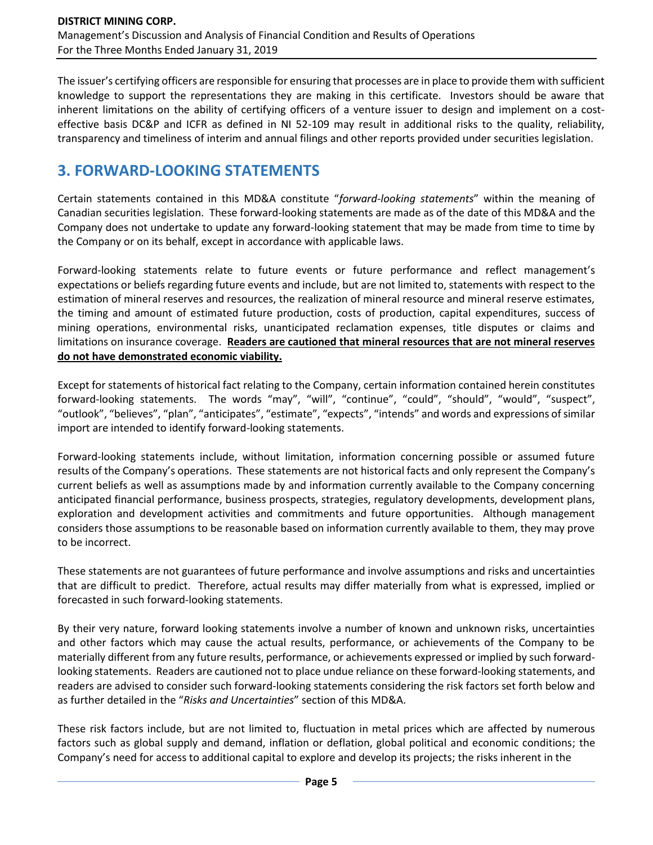The issuer's certifying officers are responsible for ensuring that processes are in place to provide them with sufficient knowledge to support the representations they are making in this certificate. Investors should be aware that inherent limitations on the ability of certifying officers of a venture issuer to design and implement on a costeffective basis DC&P and ICFR as defined in NI 52-109 may result in additional risks to the quality, reliability, transparency and timeliness of interim and annual filings and other reports provided under securities legislation.

# **3. FORWARD-LOOKING STATEMENTS**

Certain statements contained in this MD&A constitute "*forward-looking statements*" within the meaning of Canadian securities legislation. These forward-looking statements are made as of the date of this MD&A and the Company does not undertake to update any forward-looking statement that may be made from time to time by the Company or on its behalf, except in accordance with applicable laws.

Forward-looking statements relate to future events or future performance and reflect management's expectations or beliefs regarding future events and include, but are not limited to, statements with respect to the estimation of mineral reserves and resources, the realization of mineral resource and mineral reserve estimates, the timing and amount of estimated future production, costs of production, capital expenditures, success of mining operations, environmental risks, unanticipated reclamation expenses, title disputes or claims and limitations on insurance coverage. **Readers are cautioned that mineral resources that are not mineral reserves do not have demonstrated economic viability.**

Except for statements of historical fact relating to the Company, certain information contained herein constitutes forward-looking statements. The words "may", "will", "continue", "could", "should", "would", "suspect", "outlook", "believes", "plan", "anticipates", "estimate", "expects", "intends" and words and expressions of similar import are intended to identify forward-looking statements.

Forward-looking statements include, without limitation, information concerning possible or assumed future results of the Company's operations. These statements are not historical facts and only represent the Company's current beliefs as well as assumptions made by and information currently available to the Company concerning anticipated financial performance, business prospects, strategies, regulatory developments, development plans, exploration and development activities and commitments and future opportunities. Although management considers those assumptions to be reasonable based on information currently available to them, they may prove to be incorrect.

These statements are not guarantees of future performance and involve assumptions and risks and uncertainties that are difficult to predict. Therefore, actual results may differ materially from what is expressed, implied or forecasted in such forward-looking statements.

By their very nature, forward looking statements involve a number of known and unknown risks, uncertainties and other factors which may cause the actual results, performance, or achievements of the Company to be materially different from any future results, performance, or achievements expressed or implied by such forwardlooking statements. Readers are cautioned not to place undue reliance on these forward-looking statements, and readers are advised to consider such forward-looking statements considering the risk factors set forth below and as further detailed in the "*Risks and Uncertainties*" section of this MD&A.

These risk factors include, but are not limited to, fluctuation in metal prices which are affected by numerous factors such as global supply and demand, inflation or deflation, global political and economic conditions; the Company's need for access to additional capital to explore and develop its projects; the risks inherent in the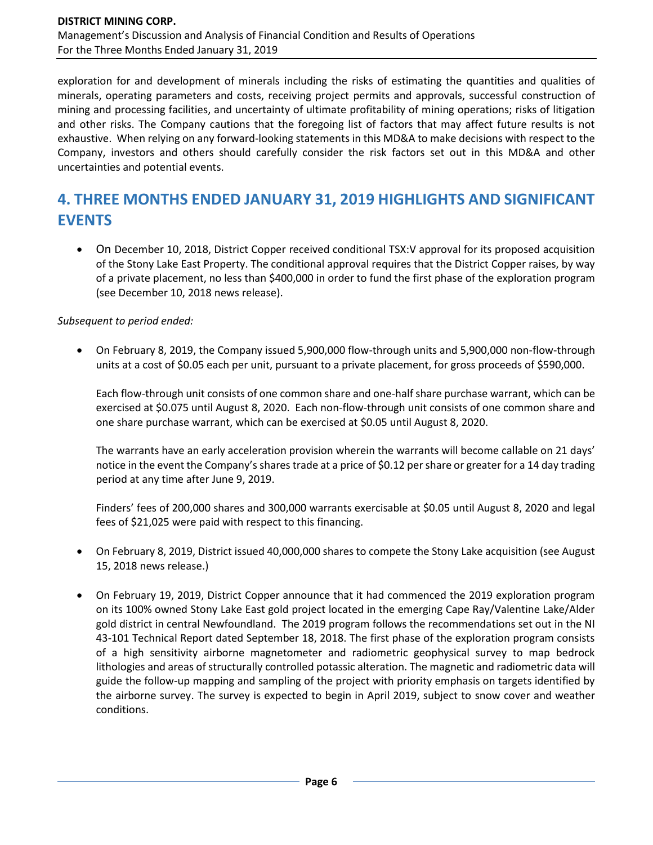exploration for and development of minerals including the risks of estimating the quantities and qualities of minerals, operating parameters and costs, receiving project permits and approvals, successful construction of mining and processing facilities, and uncertainty of ultimate profitability of mining operations; risks of litigation and other risks. The Company cautions that the foregoing list of factors that may affect future results is not exhaustive. When relying on any forward-looking statements in this MD&A to make decisions with respect to the Company, investors and others should carefully consider the risk factors set out in this MD&A and other uncertainties and potential events.

# **4. THREE MONTHS ENDED JANUARY 31, 2019 HIGHLIGHTS AND SIGNIFICANT EVENTS**

• On December 10, 2018, District Copper received conditional TSX:V approval for its proposed acquisition of the Stony Lake East Property. The conditional approval requires that the District Copper raises, by way of a private placement, no less than \$400,000 in order to fund the first phase of the exploration program (see December 10, 2018 news release).

#### *Subsequent to period ended:*

• On February 8, 2019, the Company issued 5,900,000 flow-through units and 5,900,000 non-flow-through units at a cost of \$0.05 each per unit, pursuant to a private placement, for gross proceeds of \$590,000.

Each flow-through unit consists of one common share and one-half share purchase warrant, which can be exercised at \$0.075 until August 8, 2020. Each non-flow-through unit consists of one common share and one share purchase warrant, which can be exercised at \$0.05 until August 8, 2020.

The warrants have an early acceleration provision wherein the warrants will become callable on 21 days' notice in the event the Company's shares trade at a price of \$0.12 per share or greater for a 14 day trading period at any time after June 9, 2019.

Finders' fees of 200,000 shares and 300,000 warrants exercisable at \$0.05 until August 8, 2020 and legal fees of \$21,025 were paid with respect to this financing.

- On February 8, 2019, District issued 40,000,000 shares to compete the Stony Lake acquisition (see August 15, 2018 news release.)
- On February 19, 2019, District Copper announce that it had commenced the 2019 exploration program on its 100% owned Stony Lake East gold project located in the emerging Cape Ray/Valentine Lake/Alder gold district in central Newfoundland. The 2019 program follows the recommendations set out in the NI 43-101 Technical Report dated September 18, 2018. The first phase of the exploration program consists of a high sensitivity airborne magnetometer and radiometric geophysical survey to map bedrock lithologies and areas of structurally controlled potassic alteration. The magnetic and radiometric data will guide the follow-up mapping and sampling of the project with priority emphasis on targets identified by the airborne survey. The survey is expected to begin in April 2019, subject to snow cover and weather conditions.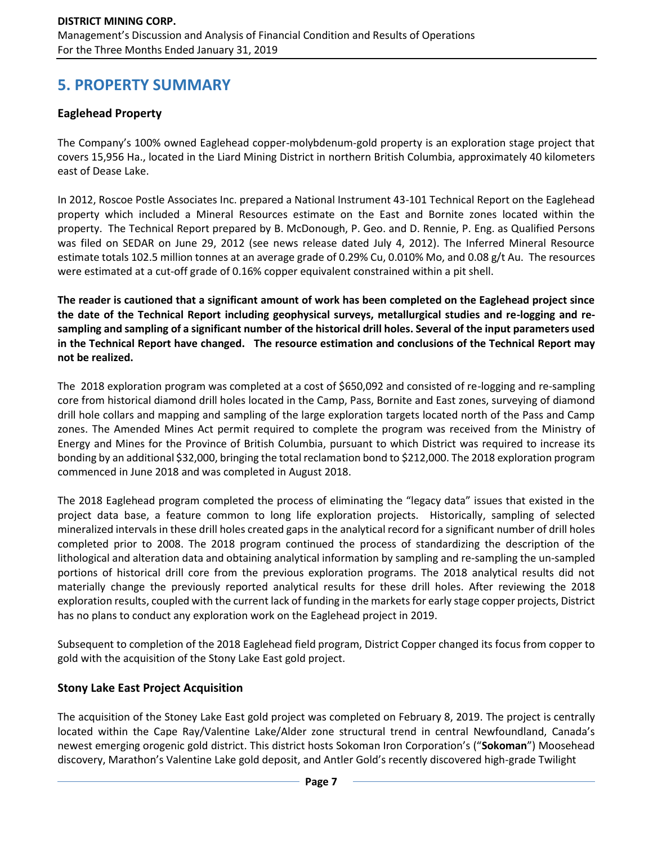# **5. PROPERTY SUMMARY**

## **Eaglehead Property**

The Company's 100% owned Eaglehead copper-molybdenum-gold property is an exploration stage project that covers 15,956 Ha., located in the Liard Mining District in northern British Columbia, approximately 40 kilometers east of Dease Lake.

In 2012, Roscoe Postle Associates Inc. prepared a National Instrument 43-101 Technical Report on the Eaglehead property which included a Mineral Resources estimate on the East and Bornite zones located within the property. The Technical Report prepared by B. McDonough, P. Geo. and D. Rennie, P. Eng. as Qualified Persons was filed on SEDAR on June 29, 2012 (see news release dated July 4, 2012). The Inferred Mineral Resource estimate totals 102.5 million tonnes at an average grade of 0.29% Cu, 0.010% Mo, and 0.08 g/t Au. The resources were estimated at a cut-off grade of 0.16% copper equivalent constrained within a pit shell.

**The reader is cautioned that a significant amount of work has been completed on the Eaglehead project since the date of the Technical Report including geophysical surveys, metallurgical studies and re-logging and resampling and sampling of a significant number of the historical drill holes. Several of the input parameters used in the Technical Report have changed. The resource estimation and conclusions of the Technical Report may not be realized.**

The 2018 exploration program was completed at a cost of \$650,092 and consisted of re-logging and re-sampling core from historical diamond drill holes located in the Camp, Pass, Bornite and East zones, surveying of diamond drill hole collars and mapping and sampling of the large exploration targets located north of the Pass and Camp zones. The Amended Mines Act permit required to complete the program was received from the Ministry of Energy and Mines for the Province of British Columbia, pursuant to which District was required to increase its bonding by an additional \$32,000, bringing the total reclamation bond to \$212,000. The 2018 exploration program commenced in June 2018 and was completed in August 2018.

The 2018 Eaglehead program completed the process of eliminating the "legacy data" issues that existed in the project data base, a feature common to long life exploration projects. Historically, sampling of selected mineralized intervals in these drill holes created gaps in the analytical record for a significant number of drill holes completed prior to 2008. The 2018 program continued the process of standardizing the description of the lithological and alteration data and obtaining analytical information by sampling and re-sampling the un-sampled portions of historical drill core from the previous exploration programs. The 2018 analytical results did not materially change the previously reported analytical results for these drill holes. After reviewing the 2018 exploration results, coupled with the current lack of funding in the markets for early stage copper projects, District has no plans to conduct any exploration work on the Eaglehead project in 2019.

Subsequent to completion of the 2018 Eaglehead field program, District Copper changed its focus from copper to gold with the acquisition of the Stony Lake East gold project.

## **Stony Lake East Project Acquisition**

The acquisition of the Stoney Lake East gold project was completed on February 8, 2019. The project is centrally located within the Cape Ray/Valentine Lake/Alder zone structural trend in central Newfoundland, Canada's newest emerging orogenic gold district. This district hosts Sokoman Iron Corporation's ("**Sokoman**") Moosehead discovery, Marathon's Valentine Lake gold deposit, and Antler Gold's recently discovered high-grade Twilight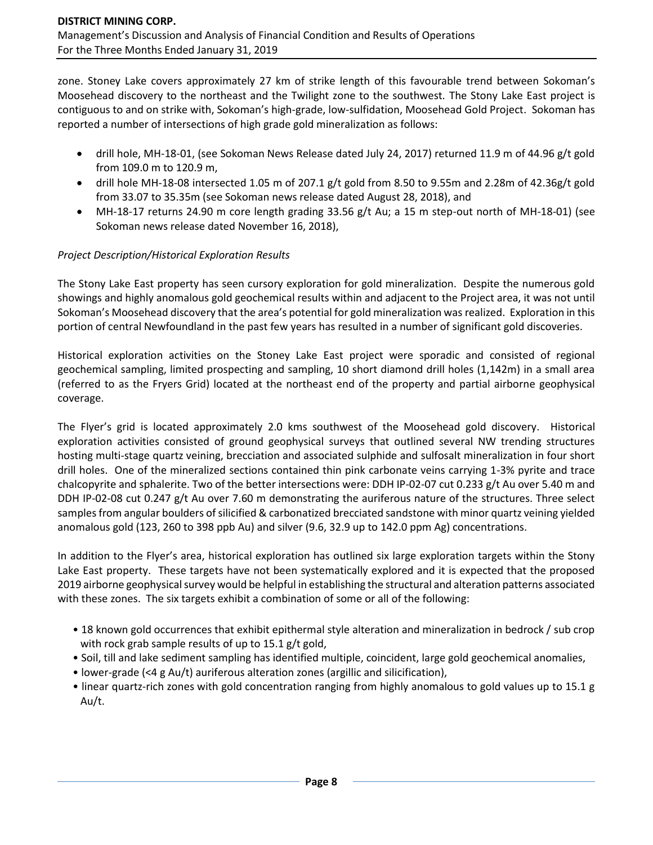zone. Stoney Lake covers approximately 27 km of strike length of this favourable trend between Sokoman's Moosehead discovery to the northeast and the Twilight zone to the southwest. The Stony Lake East project is contiguous to and on strike with, Sokoman's high-grade, low-sulfidation, Moosehead Gold Project. Sokoman has reported a number of intersections of high grade gold mineralization as follows:

- drill hole, MH-18-01, (see Sokoman News Release dated July 24, 2017) returned 11.9 m of 44.96 g/t gold from 109.0 m to 120.9 m,
- drill hole MH-18-08 intersected 1.05 m of 207.1 g/t gold from 8.50 to 9.55m and 2.28m of 42.36g/t gold from 33.07 to 35.35m (see Sokoman news release dated August 28, 2018), and
- MH-18-17 returns 24.90 m core length grading 33.56 g/t Au; a 15 m step-out north of MH-18-01) (see Sokoman news release dated November 16, 2018),

## *Project Description/Historical Exploration Results*

The Stony Lake East property has seen cursory exploration for gold mineralization. Despite the numerous gold showings and highly anomalous gold geochemical results within and adjacent to the Project area, it was not until Sokoman's Moosehead discovery that the area's potential for gold mineralization was realized. Exploration in this portion of central Newfoundland in the past few years has resulted in a number of significant gold discoveries.

Historical exploration activities on the Stoney Lake East project were sporadic and consisted of regional geochemical sampling, limited prospecting and sampling, 10 short diamond drill holes (1,142m) in a small area (referred to as the Fryers Grid) located at the northeast end of the property and partial airborne geophysical coverage.

The Flyer's grid is located approximately 2.0 kms southwest of the Moosehead gold discovery. Historical exploration activities consisted of ground geophysical surveys that outlined several NW trending structures hosting multi-stage quartz veining, brecciation and associated sulphide and sulfosalt mineralization in four short drill holes. One of the mineralized sections contained thin pink carbonate veins carrying 1-3% pyrite and trace chalcopyrite and sphalerite. Two of the better intersections were: DDH IP-02-07 cut 0.233 g/t Au over 5.40 m and DDH IP-02-08 cut 0.247 g/t Au over 7.60 m demonstrating the auriferous nature of the structures. Three select samples from angular boulders of silicified & carbonatized brecciated sandstone with minor quartz veining yielded anomalous gold (123, 260 to 398 ppb Au) and silver (9.6, 32.9 up to 142.0 ppm Ag) concentrations.

In addition to the Flyer's area, historical exploration has outlined six large exploration targets within the Stony Lake East property. These targets have not been systematically explored and it is expected that the proposed 2019 airborne geophysical survey would be helpful in establishing the structural and alteration patterns associated with these zones. The six targets exhibit a combination of some or all of the following:

- 18 known gold occurrences that exhibit epithermal style alteration and mineralization in bedrock / sub crop with rock grab sample results of up to 15.1 g/t gold,
- Soil, till and lake sediment sampling has identified multiple, coincident, large gold geochemical anomalies,
- lower-grade (<4 g Au/t) auriferous alteration zones (argillic and silicification),
- linear quartz-rich zones with gold concentration ranging from highly anomalous to gold values up to 15.1 g Au/t.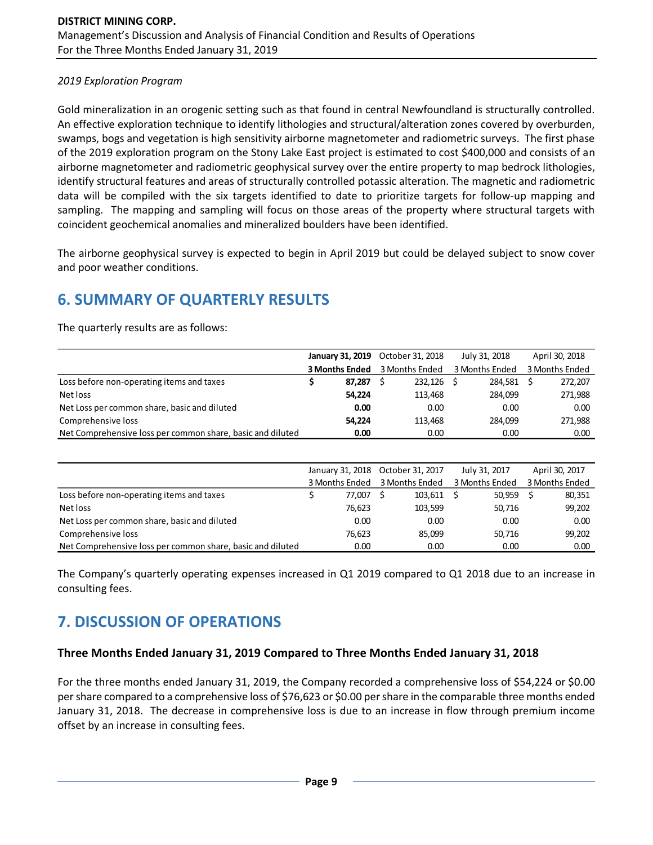### *2019 Exploration Program*

Gold mineralization in an orogenic setting such as that found in central Newfoundland is structurally controlled. An effective exploration technique to identify lithologies and structural/alteration zones covered by overburden, swamps, bogs and vegetation is high sensitivity airborne magnetometer and radiometric surveys. The first phase of the 2019 exploration program on the Stony Lake East project is estimated to cost \$400,000 and consists of an airborne magnetometer and radiometric geophysical survey over the entire property to map bedrock lithologies, identify structural features and areas of structurally controlled potassic alteration. The magnetic and radiometric data will be compiled with the six targets identified to date to prioritize targets for follow-up mapping and sampling. The mapping and sampling will focus on those areas of the property where structural targets with coincident geochemical anomalies and mineralized boulders have been identified.

The airborne geophysical survey is expected to begin in April 2019 but could be delayed subject to snow cover and poor weather conditions.

# **6. SUMMARY OF QUARTERLY RESULTS**

The quarterly results are as follows:

|                                                            | <b>January 31, 2019</b> | October 31, 2018 | July 31, 2018  | April 30, 2018 |
|------------------------------------------------------------|-------------------------|------------------|----------------|----------------|
|                                                            | <b>3 Months Ended</b>   | 3 Months Ended   | 3 Months Ended | 3 Months Ended |
| Loss before non-operating items and taxes                  | 87.287                  | 232,126          | 284.581        | 272,207        |
| Net loss                                                   | 54,224                  | 113.468          | 284.099        | 271,988        |
| Net Loss per common share, basic and diluted               | 0.00                    | 0.00             | 0.00           | 0.00           |
| Comprehensive loss                                         | 54.224                  | 113.468          | 284.099        | 271,988        |
| Net Comprehensive loss per common share, basic and diluted | 0.00                    | 0.00             | 0.00           | 0.00           |

|                                                            |                | January 31, 2018 October 31, 2017 | July 31, 2017  | April 30, 2017 |
|------------------------------------------------------------|----------------|-----------------------------------|----------------|----------------|
|                                                            | 3 Months Ended | 3 Months Ended                    | 3 Months Ended | 3 Months Ended |
| Loss before non-operating items and taxes                  | 77.007         | 103,611                           | 50.959         | 80,351         |
| Net loss                                                   | 76,623         | 103.599                           | 50.716         | 99,202         |
| Net Loss per common share, basic and diluted               | 0.00           | 0.00                              | 0.00           | 0.00           |
| Comprehensive loss                                         | 76,623         | 85,099                            | 50,716         | 99,202         |
| Net Comprehensive loss per common share, basic and diluted | 0.00           | 0.00                              | 0.00           | 0.00           |

The Company's quarterly operating expenses increased in Q1 2019 compared to Q1 2018 due to an increase in consulting fees.

# **7. DISCUSSION OF OPERATIONS**

### **Three Months Ended January 31, 2019 Compared to Three Months Ended January 31, 2018**

For the three months ended January 31, 2019, the Company recorded a comprehensive loss of \$54,224 or \$0.00 per share compared to a comprehensive loss of \$76,623 or \$0.00 per share in the comparable three months ended January 31, 2018. The decrease in comprehensive loss is due to an increase in flow through premium income offset by an increase in consulting fees.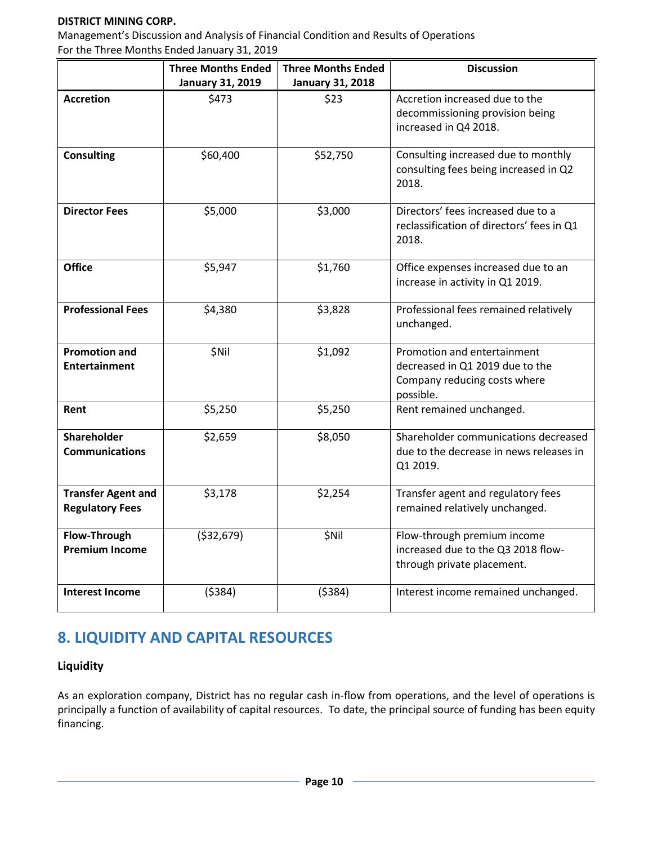### **DISTRICT MINING CORP.**

Management's Discussion and Analysis of Financial Condition and Results of Operations For the Three Months Ended January 31, 2019

|                                       | <b>Three Months Ended</b> | <b>Three Months Ended</b> | <b>Discussion</b>                                                 |
|---------------------------------------|---------------------------|---------------------------|-------------------------------------------------------------------|
|                                       | <b>January 31, 2019</b>   | <b>January 31, 2018</b>   |                                                                   |
| <b>Accretion</b>                      | \$473                     | \$23                      | Accretion increased due to the<br>decommissioning provision being |
|                                       |                           |                           | increased in Q4 2018.                                             |
|                                       |                           |                           |                                                                   |
| <b>Consulting</b>                     | \$60,400                  | \$52,750                  | Consulting increased due to monthly                               |
|                                       |                           |                           | consulting fees being increased in Q2                             |
|                                       |                           |                           | 2018.                                                             |
| <b>Director Fees</b>                  | \$5,000                   | \$3,000                   | Directors' fees increased due to a                                |
|                                       |                           |                           | reclassification of directors' fees in Q1                         |
|                                       |                           |                           | 2018.                                                             |
| <b>Office</b>                         | \$5,947                   | \$1,760                   | Office expenses increased due to an                               |
|                                       |                           |                           | increase in activity in Q1 2019.                                  |
|                                       |                           |                           |                                                                   |
| <b>Professional Fees</b>              | \$4,380                   | \$3,828                   | Professional fees remained relatively<br>unchanged.               |
|                                       |                           |                           |                                                                   |
| <b>Promotion and</b>                  | \$Nil                     | \$1,092                   | Promotion and entertainment                                       |
| <b>Entertainment</b>                  |                           |                           | decreased in Q1 2019 due to the                                   |
|                                       |                           |                           | Company reducing costs where                                      |
| Rent                                  | \$5,250                   | \$5,250                   | possible.<br>Rent remained unchanged.                             |
|                                       |                           |                           |                                                                   |
| Shareholder                           | \$2,659                   | \$8,050                   | Shareholder communications decreased                              |
| <b>Communications</b>                 |                           |                           | due to the decrease in news releases in                           |
|                                       |                           |                           | Q1 2019.                                                          |
| <b>Transfer Agent and</b>             | \$3,178                   | \$2,254                   | Transfer agent and regulatory fees                                |
| <b>Regulatory Fees</b>                |                           |                           | remained relatively unchanged.                                    |
|                                       |                           |                           |                                                                   |
| Flow-Through<br><b>Premium Income</b> | ( \$32,679)               | \$Nil                     | Flow-through premium income<br>increased due to the Q3 2018 flow- |
|                                       |                           |                           | through private placement.                                        |
|                                       |                           |                           |                                                                   |
| <b>Interest Income</b>                | (5384)                    | (5384)                    | Interest income remained unchanged.                               |
|                                       |                           |                           |                                                                   |

# **8. LIQUIDITY AND CAPITAL RESOURCES**

## **Liquidity**

As an exploration company, District has no regular cash in-flow from operations, and the level of operations is principally a function of availability of capital resources. To date, the principal source of funding has been equity financing.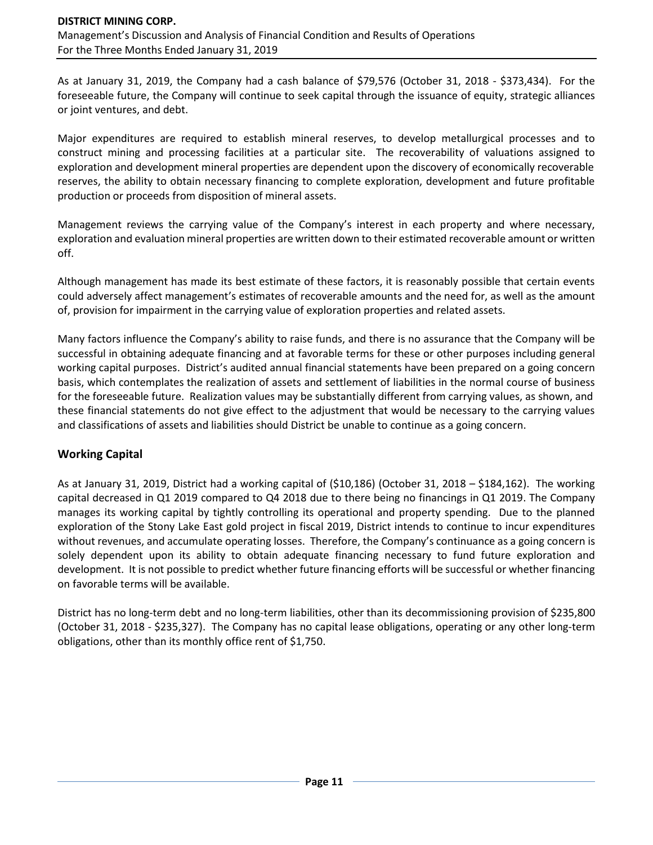As at January 31, 2019, the Company had a cash balance of \$79,576 (October 31, 2018 - \$373,434). For the foreseeable future, the Company will continue to seek capital through the issuance of equity, strategic alliances or joint ventures, and debt.

Major expenditures are required to establish mineral reserves, to develop metallurgical processes and to construct mining and processing facilities at a particular site. The recoverability of valuations assigned to exploration and development mineral properties are dependent upon the discovery of economically recoverable reserves, the ability to obtain necessary financing to complete exploration, development and future profitable production or proceeds from disposition of mineral assets.

Management reviews the carrying value of the Company's interest in each property and where necessary, exploration and evaluation mineral properties are written down to their estimated recoverable amount or written off.

Although management has made its best estimate of these factors, it is reasonably possible that certain events could adversely affect management's estimates of recoverable amounts and the need for, as well as the amount of, provision for impairment in the carrying value of exploration properties and related assets.

Many factors influence the Company's ability to raise funds, and there is no assurance that the Company will be successful in obtaining adequate financing and at favorable terms for these or other purposes including general working capital purposes. District's audited annual financial statements have been prepared on a going concern basis, which contemplates the realization of assets and settlement of liabilities in the normal course of business for the foreseeable future. Realization values may be substantially different from carrying values, as shown, and these financial statements do not give effect to the adjustment that would be necessary to the carrying values and classifications of assets and liabilities should District be unable to continue as a going concern.

## **Working Capital**

As at January 31, 2019, District had a working capital of (\$10,186) (October 31, 2018 – \$184,162). The working capital decreased in Q1 2019 compared to Q4 2018 due to there being no financings in Q1 2019. The Company manages its working capital by tightly controlling its operational and property spending. Due to the planned exploration of the Stony Lake East gold project in fiscal 2019, District intends to continue to incur expenditures without revenues, and accumulate operating losses. Therefore, the Company's continuance as a going concern is solely dependent upon its ability to obtain adequate financing necessary to fund future exploration and development. It is not possible to predict whether future financing efforts will be successful or whether financing on favorable terms will be available.

District has no long-term debt and no long-term liabilities, other than its decommissioning provision of \$235,800 (October 31, 2018 - \$235,327). The Company has no capital lease obligations, operating or any other long-term obligations, other than its monthly office rent of \$1,750.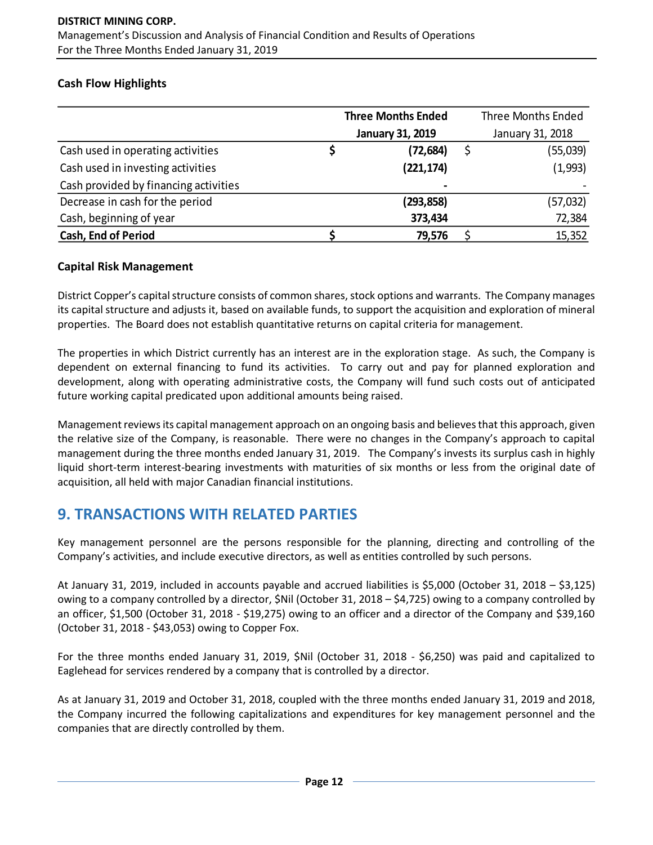## **Cash Flow Highlights**

|                                       | <b>Three Months Ended</b> |                         | <b>Three Months Ended</b> |
|---------------------------------------|---------------------------|-------------------------|---------------------------|
|                                       |                           | <b>January 31, 2019</b> | January 31, 2018          |
| Cash used in operating activities     | Ş                         | (72, 684)               | (55,039)                  |
| Cash used in investing activities     |                           | (221, 174)              | (1,993)                   |
| Cash provided by financing activities |                           | $\blacksquare$          |                           |
| Decrease in cash for the period       |                           | (293,858)               | (57, 032)                 |
| Cash, beginning of year               |                           | 373,434                 | 72,384                    |
| <b>Cash, End of Period</b>            |                           | 79,576                  | 15,352                    |

## **Capital Risk Management**

District Copper's capital structure consists of common shares, stock options and warrants. The Company manages its capital structure and adjusts it, based on available funds, to support the acquisition and exploration of mineral properties. The Board does not establish quantitative returns on capital criteria for management.

The properties in which District currently has an interest are in the exploration stage. As such, the Company is dependent on external financing to fund its activities. To carry out and pay for planned exploration and development, along with operating administrative costs, the Company will fund such costs out of anticipated future working capital predicated upon additional amounts being raised.

Management reviews its capital management approach on an ongoing basis and believes that this approach, given the relative size of the Company, is reasonable. There were no changes in the Company's approach to capital management during the three months ended January 31, 2019. The Company's invests its surplus cash in highly liquid short-term interest-bearing investments with maturities of six months or less from the original date of acquisition, all held with major Canadian financial institutions.

# **9. TRANSACTIONS WITH RELATED PARTIES**

Key management personnel are the persons responsible for the planning, directing and controlling of the Company's activities, and include executive directors, as well as entities controlled by such persons.

At January 31, 2019, included in accounts payable and accrued liabilities is \$5,000 (October 31, 2018 – \$3,125) owing to a company controlled by a director, \$Nil (October 31, 2018 – \$4,725) owing to a company controlled by an officer, \$1,500 (October 31, 2018 - \$19,275) owing to an officer and a director of the Company and \$39,160 (October 31, 2018 - \$43,053) owing to Copper Fox.

For the three months ended January 31, 2019, \$Nil (October 31, 2018 - \$6,250) was paid and capitalized to Eaglehead for services rendered by a company that is controlled by a director.

As at January 31, 2019 and October 31, 2018, coupled with the three months ended January 31, 2019 and 2018, the Company incurred the following capitalizations and expenditures for key management personnel and the companies that are directly controlled by them.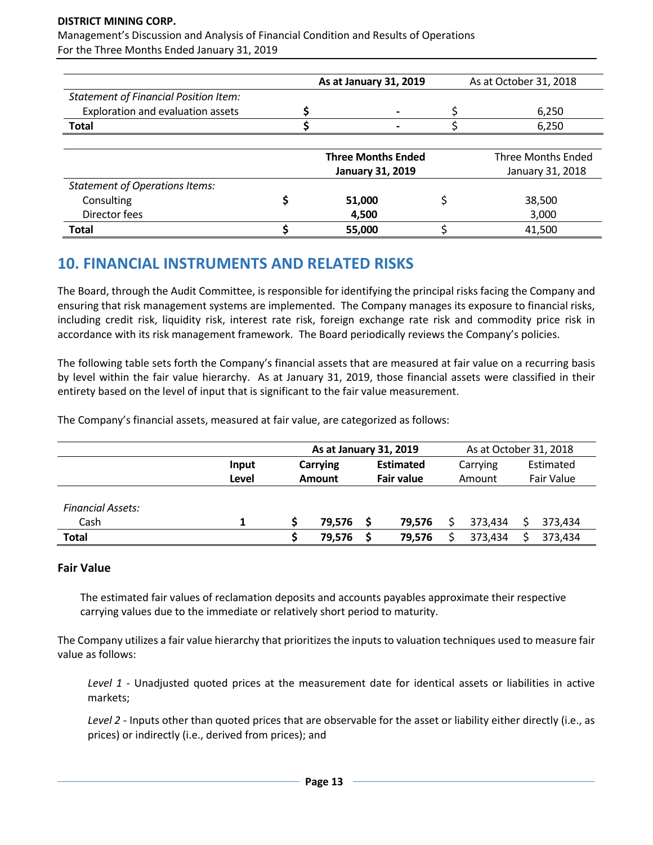#### **DISTRICT MINING CORP.**

Management's Discussion and Analysis of Financial Condition and Results of Operations For the Three Months Ended January 31, 2019

|                                              | As at January 31, 2019    | As at October 31, 2018    |
|----------------------------------------------|---------------------------|---------------------------|
| <b>Statement of Financial Position Item:</b> |                           |                           |
| Exploration and evaluation assets            |                           | 6,250                     |
| <b>Total</b>                                 |                           | 6,250                     |
|                                              |                           |                           |
|                                              | <b>Three Months Ended</b> | <b>Three Months Ended</b> |
|                                              | <b>January 31, 2019</b>   | January 31, 2018          |
| <b>Statement of Operations Items:</b>        |                           |                           |
| Consulting                                   | 51,000                    | 38,500                    |
| Director fees                                | 4,500                     | 3,000                     |
| Total                                        | 55,000                    | 41,500                    |

# **10. FINANCIAL INSTRUMENTS AND RELATED RISKS**

The Board, through the Audit Committee, is responsible for identifying the principal risks facing the Company and ensuring that risk management systems are implemented. The Company manages its exposure to financial risks, including credit risk, liquidity risk, interest rate risk, foreign exchange rate risk and commodity price risk in accordance with its risk management framework. The Board periodically reviews the Company's policies.

The following table sets forth the Company's financial assets that are measured at fair value on a recurring basis by level within the fair value hierarchy. As at January 31, 2019, those financial assets were classified in their entirety based on the level of input that is significant to the fair value measurement.

The Company's financial assets, measured at fair value, are categorized as follows:

|                          |       | As at January 31, 2019 |        |                   |        | As at October 31, 2018 |         |            |         |
|--------------------------|-------|------------------------|--------|-------------------|--------|------------------------|---------|------------|---------|
|                          | Input | <b>Carrying</b>        |        | <b>Estimated</b>  |        | Carrying               |         | Estimated  |         |
|                          | Level | <b>Amount</b>          |        | <b>Fair value</b> |        | Amount                 |         | Fair Value |         |
|                          |       |                        |        |                   |        |                        |         |            |         |
| <b>Financial Assets:</b> |       |                        |        |                   |        |                        |         |            |         |
| Cash                     |       |                        | 79.576 |                   | 79.576 |                        | 373.434 |            | 373,434 |
| <b>Total</b>             |       |                        | 79,576 |                   | 79,576 |                        | 373.434 |            | 373,434 |

### **Fair Value**

The estimated fair values of reclamation deposits and accounts payables approximate their respective carrying values due to the immediate or relatively short period to maturity.

The Company utilizes a fair value hierarchy that prioritizes the inputs to valuation techniques used to measure fair value as follows:

*Level 1* - Unadjusted quoted prices at the measurement date for identical assets or liabilities in active markets;

*Level 2* - Inputs other than quoted prices that are observable for the asset or liability either directly (i.e., as prices) or indirectly (i.e., derived from prices); and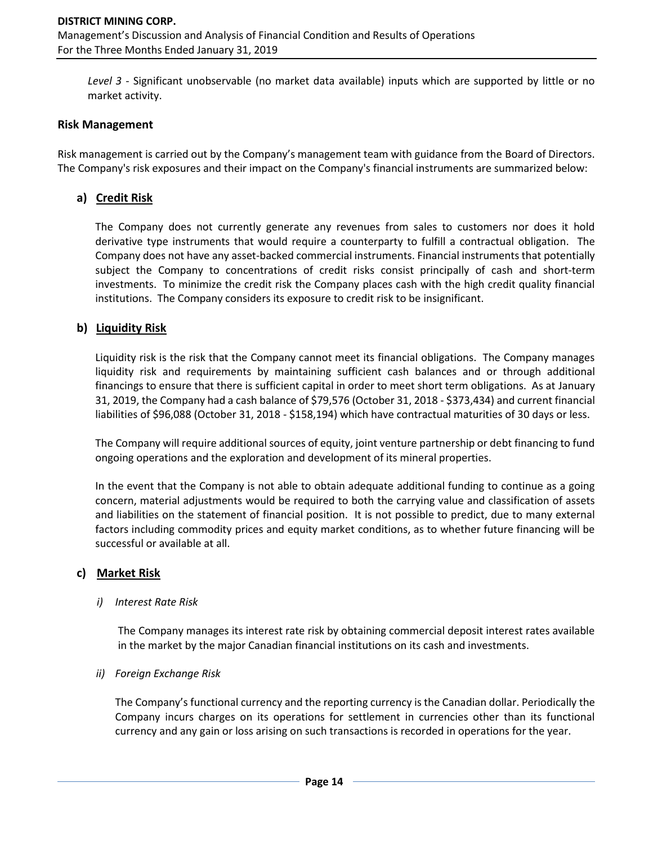*Level 3* - Significant unobservable (no market data available) inputs which are supported by little or no market activity.

#### **Risk Management**

Risk management is carried out by the Company's management team with guidance from the Board of Directors. The Company's risk exposures and their impact on the Company's financial instruments are summarized below:

## **a) Credit Risk**

The Company does not currently generate any revenues from sales to customers nor does it hold derivative type instruments that would require a counterparty to fulfill a contractual obligation. The Company does not have any asset-backed commercial instruments. Financial instruments that potentially subject the Company to concentrations of credit risks consist principally of cash and short-term investments. To minimize the credit risk the Company places cash with the high credit quality financial institutions. The Company considers its exposure to credit risk to be insignificant.

### **b) Liquidity Risk**

Liquidity risk is the risk that the Company cannot meet its financial obligations. The Company manages liquidity risk and requirements by maintaining sufficient cash balances and or through additional financings to ensure that there is sufficient capital in order to meet short term obligations. As at January 31, 2019, the Company had a cash balance of \$79,576 (October 31, 2018 - \$373,434) and current financial liabilities of \$96,088 (October 31, 2018 - \$158,194) which have contractual maturities of 30 days or less.

The Company will require additional sources of equity, joint venture partnership or debt financing to fund ongoing operations and the exploration and development of its mineral properties.

In the event that the Company is not able to obtain adequate additional funding to continue as a going concern, material adjustments would be required to both the carrying value and classification of assets and liabilities on the statement of financial position. It is not possible to predict, due to many external factors including commodity prices and equity market conditions, as to whether future financing will be successful or available at all.

#### **c) Market Risk**

#### *i) Interest Rate Risk*

The Company manages its interest rate risk by obtaining commercial deposit interest rates available in the market by the major Canadian financial institutions on its cash and investments.

#### *ii) Foreign Exchange Risk*

The Company's functional currency and the reporting currency is the Canadian dollar. Periodically the Company incurs charges on its operations for settlement in currencies other than its functional currency and any gain or loss arising on such transactions is recorded in operations for the year.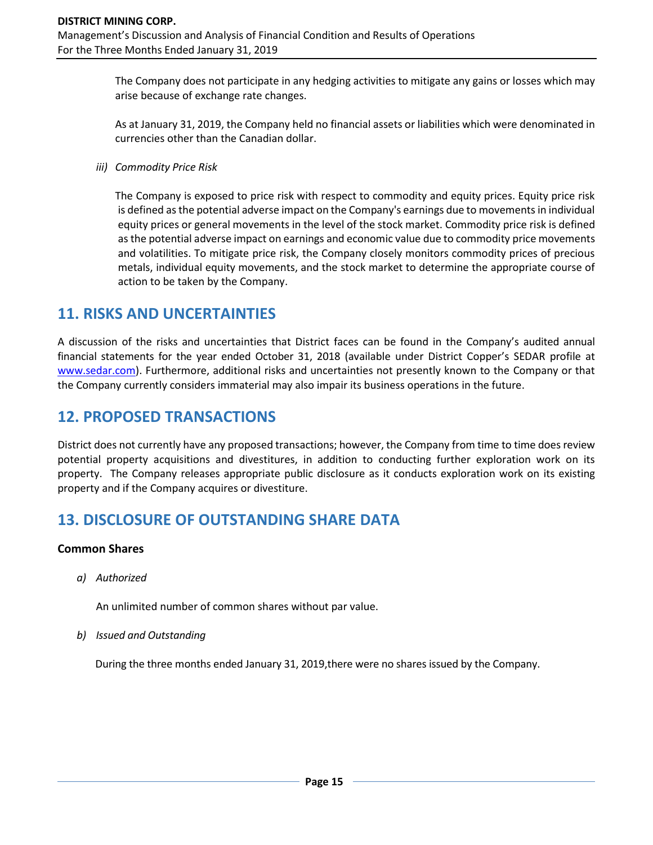The Company does not participate in any hedging activities to mitigate any gains or losses which may arise because of exchange rate changes.

As at January 31, 2019, the Company held no financial assets or liabilities which were denominated in currencies other than the Canadian dollar.

*iii) Commodity Price Risk*

The Company is exposed to price risk with respect to commodity and equity prices. Equity price risk is defined as the potential adverse impact on the Company's earnings due to movements in individual equity prices or general movements in the level of the stock market. Commodity price risk is defined as the potential adverse impact on earnings and economic value due to commodity price movements and volatilities. To mitigate price risk, the Company closely monitors commodity prices of precious metals, individual equity movements, and the stock market to determine the appropriate course of action to be taken by the Company.

# **11. RISKS AND UNCERTAINTIES**

A discussion of the risks and uncertainties that District faces can be found in the Company's audited annual financial statements for the year ended October 31, 2018 (available under District Copper's SEDAR profile at [www.sedar.com\)](http://www.sedar.com/). Furthermore, additional risks and uncertainties not presently known to the Company or that the Company currently considers immaterial may also impair its business operations in the future.

# **12. PROPOSED TRANSACTIONS**

District does not currently have any proposed transactions; however, the Company from time to time does review potential property acquisitions and divestitures, in addition to conducting further exploration work on its property. The Company releases appropriate public disclosure as it conducts exploration work on its existing property and if the Company acquires or divestiture.

# **13. DISCLOSURE OF OUTSTANDING SHARE DATA**

### **Common Shares**

*a) Authorized*

An unlimited number of common shares without par value.

*b) Issued and Outstanding*

During the three months ended January 31, 2019,there were no shares issued by the Company.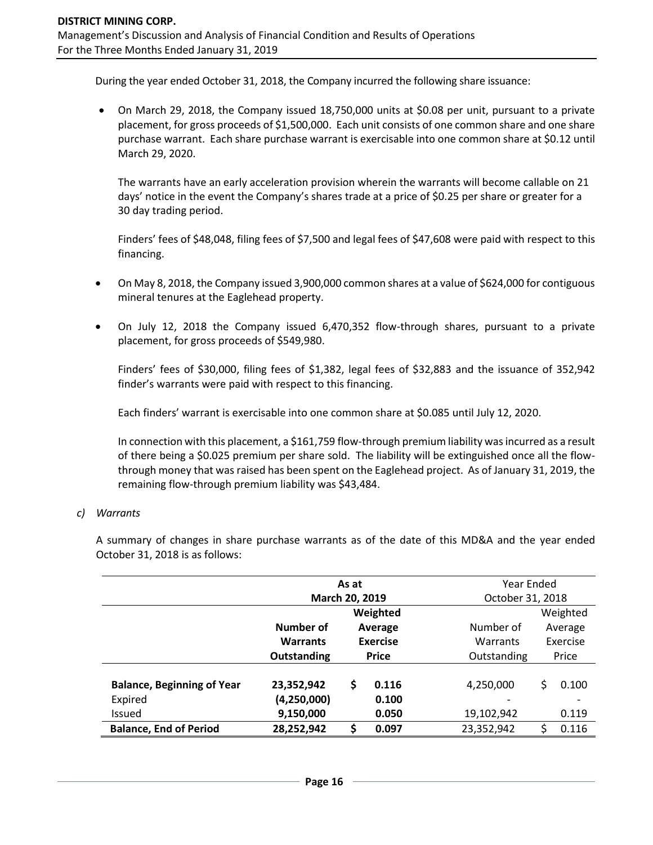During the year ended October 31, 2018, the Company incurred the following share issuance:

• On March 29, 2018, the Company issued 18,750,000 units at \$0.08 per unit, pursuant to a private placement, for gross proceeds of \$1,500,000. Each unit consists of one common share and one share purchase warrant. Each share purchase warrant is exercisable into one common share at \$0.12 until March 29, 2020.

The warrants have an early acceleration provision wherein the warrants will become callable on 21 days' notice in the event the Company's shares trade at a price of \$0.25 per share or greater for a 30 day trading period.

Finders' fees of \$48,048, filing fees of \$7,500 and legal fees of \$47,608 were paid with respect to this financing.

- On May 8, 2018, the Company issued 3,900,000 common shares at a value of \$624,000 for contiguous mineral tenures at the Eaglehead property.
- On July 12, 2018 the Company issued 6,470,352 flow-through shares, pursuant to a private placement, for gross proceeds of \$549,980.

Finders' fees of \$30,000, filing fees of \$1,382, legal fees of \$32,883 and the issuance of 352,942 finder's warrants were paid with respect to this financing.

Each finders' warrant is exercisable into one common share at \$0.085 until July 12, 2020.

In connection with this placement, a \$161,759 flow-through premium liability was incurred as a result of there being a \$0.025 premium per share sold. The liability will be extinguished once all the flowthrough money that was raised has been spent on the Eaglehead project. As of January 31, 2019, the remaining flow-through premium liability was \$43,484.

### *c) Warrants*

A summary of changes in share purchase warrants as of the date of this MD&A and the year ended October 31, 2018 is as follows:

|                                   | As at                |                 |           |             | Year Ended       |       |  |  |
|-----------------------------------|----------------------|-----------------|-----------|-------------|------------------|-------|--|--|
|                                   | March 20, 2019       |                 |           |             | October 31, 2018 |       |  |  |
|                                   | Weighted             |                 |           |             | Weighted         |       |  |  |
|                                   | Number of<br>Average |                 | Number of |             | Average          |       |  |  |
|                                   | <b>Warrants</b>      | <b>Exercise</b> |           | Warrants    | Exercise         |       |  |  |
|                                   | Outstanding          | <b>Price</b>    |           | Outstanding |                  | Price |  |  |
| <b>Balance, Beginning of Year</b> | 23,352,942           | \$<br>0.116     |           | 4,250,000   | Ś                | 0.100 |  |  |
| Expired                           | (4, 250, 000)        |                 | 0.100     |             |                  |       |  |  |
| <b>Issued</b>                     | 9,150,000            |                 | 0.050     | 19,102,942  |                  | 0.119 |  |  |
| <b>Balance, End of Period</b>     | 28,252,942           | \$              | 0.097     | 23,352,942  |                  | 0.116 |  |  |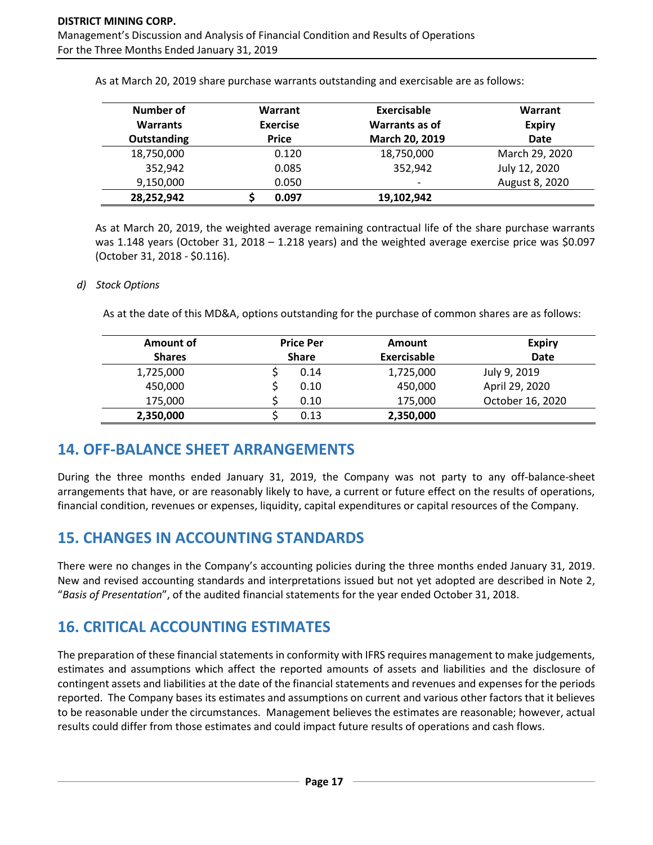| Number of          | Warrant         | Exercisable              | Warrant        |
|--------------------|-----------------|--------------------------|----------------|
| <b>Warrants</b>    | <b>Exercise</b> | Warrants as of           | <b>Expiry</b>  |
| <b>Outstanding</b> | <b>Price</b>    | March 20, 2019           | <b>Date</b>    |
| 18,750,000         | 0.120           | 18,750,000               | March 29, 2020 |
| 352,942            | 0.085           | 352,942                  | July 12, 2020  |
| 9,150,000          | 0.050           | $\overline{\phantom{a}}$ | August 8, 2020 |
| 28,252,942         | 0.097           | 19,102,942               |                |

As at March 20, 2019 share purchase warrants outstanding and exercisable are as follows:

As at March 20, 2019, the weighted average remaining contractual life of the share purchase warrants was 1.148 years (October 31, 2018 – 1.218 years) and the weighted average exercise price was \$0.097 (October 31, 2018 - \$0.116).

#### *d) Stock Options*

As at the date of this MD&A, options outstanding for the purchase of common shares are as follows:

| Amount of     |              | <b>Price Per</b> | Amount      | <b>Expiry</b>    |
|---------------|--------------|------------------|-------------|------------------|
| <b>Shares</b> | <b>Share</b> |                  | Exercisable | <b>Date</b>      |
| 1,725,000     |              | 0.14             | 1,725,000   | July 9, 2019     |
| 450,000       |              | 0.10             | 450,000     | April 29, 2020   |
| 175,000       |              | 0.10             | 175,000     | October 16, 2020 |
| 2,350,000     |              | 0.13             | 2,350,000   |                  |

# **14. OFF-BALANCE SHEET ARRANGEMENTS**

During the three months ended January 31, 2019, the Company was not party to any off-balance-sheet arrangements that have, or are reasonably likely to have, a current or future effect on the results of operations, financial condition, revenues or expenses, liquidity, capital expenditures or capital resources of the Company.

# **15. CHANGES IN ACCOUNTING STANDARDS**

There were no changes in the Company's accounting policies during the three months ended January 31, 2019. New and revised accounting standards and interpretations issued but not yet adopted are described in Note 2, "*Basis of Presentation*", of the audited financial statements for the year ended October 31, 2018.

# **16. CRITICAL ACCOUNTING ESTIMATES**

The preparation of these financial statements in conformity with IFRS requires management to make judgements, estimates and assumptions which affect the reported amounts of assets and liabilities and the disclosure of contingent assets and liabilities at the date of the financial statements and revenues and expenses for the periods reported. The Company bases its estimates and assumptions on current and various other factors that it believes to be reasonable under the circumstances. Management believes the estimates are reasonable; however, actual results could differ from those estimates and could impact future results of operations and cash flows.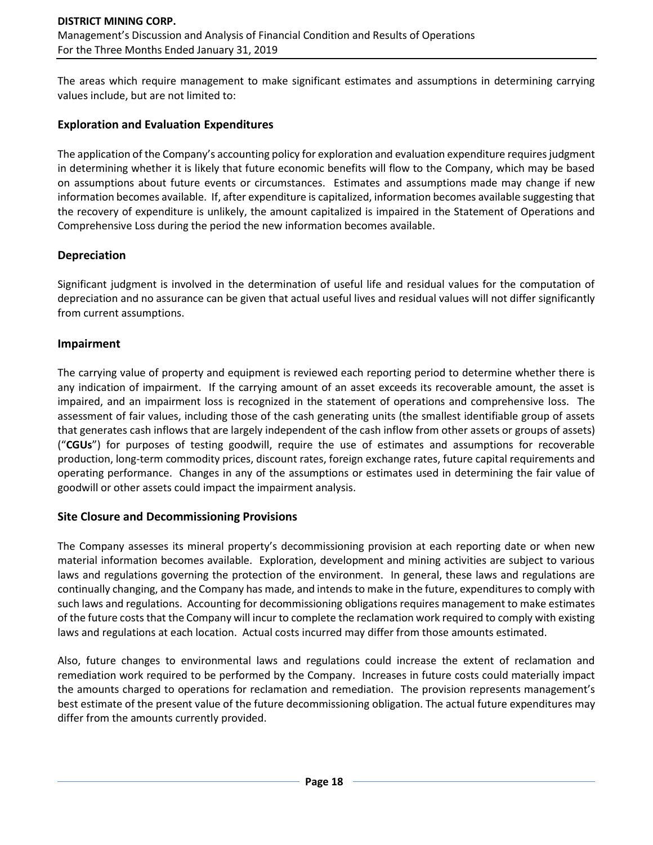The areas which require management to make significant estimates and assumptions in determining carrying values include, but are not limited to:

### **Exploration and Evaluation Expenditures**

The application of the Company's accounting policy for exploration and evaluation expenditure requires judgment in determining whether it is likely that future economic benefits will flow to the Company, which may be based on assumptions about future events or circumstances. Estimates and assumptions made may change if new information becomes available. If, after expenditure is capitalized, information becomes available suggesting that the recovery of expenditure is unlikely, the amount capitalized is impaired in the Statement of Operations and Comprehensive Loss during the period the new information becomes available.

## **Depreciation**

Significant judgment is involved in the determination of useful life and residual values for the computation of depreciation and no assurance can be given that actual useful lives and residual values will not differ significantly from current assumptions.

## **Impairment**

The carrying value of property and equipment is reviewed each reporting period to determine whether there is any indication of impairment. If the carrying amount of an asset exceeds its recoverable amount, the asset is impaired, and an impairment loss is recognized in the statement of operations and comprehensive loss. The assessment of fair values, including those of the cash generating units (the smallest identifiable group of assets that generates cash inflows that are largely independent of the cash inflow from other assets or groups of assets) ("**CGUs**") for purposes of testing goodwill, require the use of estimates and assumptions for recoverable production, long-term commodity prices, discount rates, foreign exchange rates, future capital requirements and operating performance. Changes in any of the assumptions or estimates used in determining the fair value of goodwill or other assets could impact the impairment analysis.

### **Site Closure and Decommissioning Provisions**

The Company assesses its mineral property's decommissioning provision at each reporting date or when new material information becomes available. Exploration, development and mining activities are subject to various laws and regulations governing the protection of the environment. In general, these laws and regulations are continually changing, and the Company has made, and intends to make in the future, expenditures to comply with such laws and regulations. Accounting for decommissioning obligations requires management to make estimates of the future costs that the Company will incur to complete the reclamation work required to comply with existing laws and regulations at each location. Actual costs incurred may differ from those amounts estimated.

Also, future changes to environmental laws and regulations could increase the extent of reclamation and remediation work required to be performed by the Company. Increases in future costs could materially impact the amounts charged to operations for reclamation and remediation. The provision represents management's best estimate of the present value of the future decommissioning obligation. The actual future expenditures may differ from the amounts currently provided.